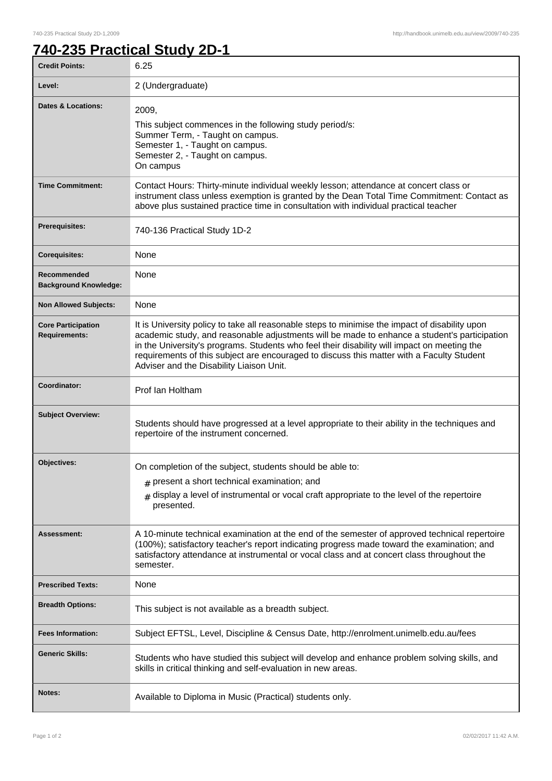## **740-235 Practical Study 2D-1**

| <b>Credit Points:</b>                             | 6.25                                                                                                                                                                                                                                                                                                                                                                                                                                   |
|---------------------------------------------------|----------------------------------------------------------------------------------------------------------------------------------------------------------------------------------------------------------------------------------------------------------------------------------------------------------------------------------------------------------------------------------------------------------------------------------------|
| Level:                                            | 2 (Undergraduate)                                                                                                                                                                                                                                                                                                                                                                                                                      |
| <b>Dates &amp; Locations:</b>                     | 2009,<br>This subject commences in the following study period/s:<br>Summer Term, - Taught on campus.<br>Semester 1, - Taught on campus.<br>Semester 2, - Taught on campus.<br>On campus                                                                                                                                                                                                                                                |
| <b>Time Commitment:</b>                           | Contact Hours: Thirty-minute individual weekly lesson; attendance at concert class or<br>instrument class unless exemption is granted by the Dean Total Time Commitment: Contact as<br>above plus sustained practice time in consultation with individual practical teacher                                                                                                                                                            |
| <b>Prerequisites:</b>                             | 740-136 Practical Study 1D-2                                                                                                                                                                                                                                                                                                                                                                                                           |
| <b>Corequisites:</b>                              | None                                                                                                                                                                                                                                                                                                                                                                                                                                   |
| Recommended<br><b>Background Knowledge:</b>       | None                                                                                                                                                                                                                                                                                                                                                                                                                                   |
| <b>Non Allowed Subjects:</b>                      | None                                                                                                                                                                                                                                                                                                                                                                                                                                   |
| <b>Core Participation</b><br><b>Requirements:</b> | It is University policy to take all reasonable steps to minimise the impact of disability upon<br>academic study, and reasonable adjustments will be made to enhance a student's participation<br>in the University's programs. Students who feel their disability will impact on meeting the<br>requirements of this subject are encouraged to discuss this matter with a Faculty Student<br>Adviser and the Disability Liaison Unit. |
| Coordinator:                                      | Prof Ian Holtham                                                                                                                                                                                                                                                                                                                                                                                                                       |
| <b>Subject Overview:</b>                          | Students should have progressed at a level appropriate to their ability in the techniques and<br>repertoire of the instrument concerned.                                                                                                                                                                                                                                                                                               |
| Objectives:                                       | On completion of the subject, students should be able to:                                                                                                                                                                                                                                                                                                                                                                              |
|                                                   | $#$ present a short technical examination; and                                                                                                                                                                                                                                                                                                                                                                                         |
|                                                   | display a level of instrumental or vocal craft appropriate to the level of the repertoire<br>#<br>presented.                                                                                                                                                                                                                                                                                                                           |
| <b>Assessment:</b>                                | A 10-minute technical examination at the end of the semester of approved technical repertoire<br>(100%); satisfactory teacher's report indicating progress made toward the examination; and<br>satisfactory attendance at instrumental or vocal class and at concert class throughout the<br>semester.                                                                                                                                 |
| <b>Prescribed Texts:</b>                          | None                                                                                                                                                                                                                                                                                                                                                                                                                                   |
| <b>Breadth Options:</b>                           | This subject is not available as a breadth subject.                                                                                                                                                                                                                                                                                                                                                                                    |
| <b>Fees Information:</b>                          | Subject EFTSL, Level, Discipline & Census Date, http://enrolment.unimelb.edu.au/fees                                                                                                                                                                                                                                                                                                                                                   |
| <b>Generic Skills:</b>                            | Students who have studied this subject will develop and enhance problem solving skills, and<br>skills in critical thinking and self-evaluation in new areas.                                                                                                                                                                                                                                                                           |
| Notes:                                            | Available to Diploma in Music (Practical) students only.                                                                                                                                                                                                                                                                                                                                                                               |